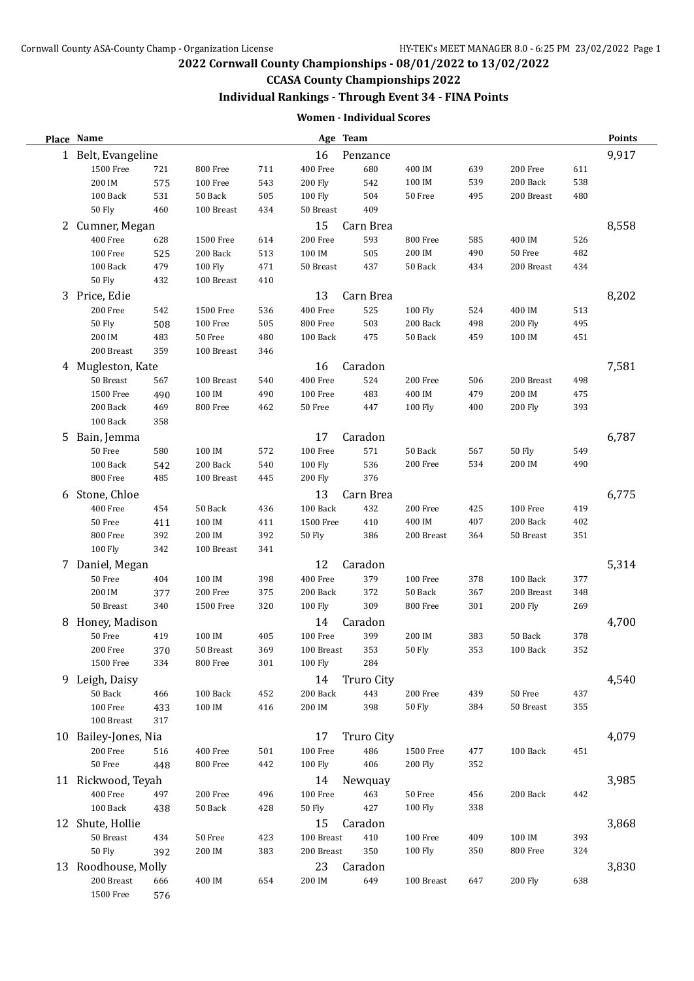#### **CCASA County Championships 2022**

### **Individual Rankings - Through Event 34 - FINA Points**

#### **Women - Individual Scores**

|   | Place Name           |     |                |     |                | Age Team          |                |     |               |     | Points |
|---|----------------------|-----|----------------|-----|----------------|-------------------|----------------|-----|---------------|-----|--------|
|   | 1 Belt, Evangeline   |     |                |     | 16             | Penzance          |                |     |               |     | 9,917  |
|   | 1500 Free            | 721 | 800 Free       | 711 | 400 Free       | 680               | 400 IM         | 639 | 200 Free      | 611 |        |
|   | 200 IM               | 575 | 100 Free       | 543 | <b>200 Fly</b> | 542               | 100 IM         | 539 | 200 Back      | 538 |        |
|   | 100 Back             | 531 | 50 Back        | 505 | 100 Fly        | 504               | 50 Free        | 495 | 200 Breast    | 480 |        |
|   | <b>50 Fly</b>        | 460 | 100 Breast     | 434 | 50 Breast      | 409               |                |     |               |     |        |
|   | 2 Cumner, Megan      |     |                |     | 15             | Carn Brea         |                |     |               |     | 8,558  |
|   | 400 Free             | 628 | 1500 Free      | 614 | 200 Free       | 593               | 800 Free       | 585 | 400 IM        | 526 |        |
|   | 100 Free             | 525 | 200 Back       | 513 | 100 IM         | 505               | 200 IM         | 490 | 50 Free       | 482 |        |
|   | 100 Back             | 479 | <b>100 Fly</b> | 471 | 50 Breast      | 437               | 50 Back        | 434 | 200 Breast    | 434 |        |
|   | 50 Fly               | 432 | 100 Breast     | 410 |                |                   |                |     |               |     |        |
|   | 3 Price, Edie        |     |                |     | 13             | Carn Brea         |                |     |               |     | 8,202  |
|   | 200 Free             | 542 | 1500 Free      | 536 | 400 Free       | 525               | <b>100 Fly</b> | 524 | 400 IM        | 513 |        |
|   | <b>50 Fly</b>        | 508 | 100 Free       | 505 | 800 Free       | 503               | 200 Back       | 498 | 200 Fly       | 495 |        |
|   | 200 IM               | 483 | 50 Free        | 480 | 100 Back       | 475               | 50 Back        | 459 | 100 IM        | 451 |        |
|   | 200 Breast           | 359 | 100 Breast     | 346 |                |                   |                |     |               |     |        |
|   | 4 Mugleston, Kate    |     |                |     | 16             | Caradon           |                |     |               |     | 7,581  |
|   | 50 Breast            | 567 | 100 Breast     | 540 | 400 Free       | 524               | 200 Free       | 506 | 200 Breast    | 498 |        |
|   | 1500 Free            | 490 | 100 IM         | 490 | 100 Free       | 483               | 400 IM         | 479 | 200 IM        | 475 |        |
|   | 200 Back             | 469 | 800 Free       | 462 | 50 Free        | 447               | 100 Fly        | 400 | 200 Fly       | 393 |        |
|   | 100 Back             | 358 |                |     |                |                   |                |     |               |     |        |
| 5 | Bain, Jemma          |     |                |     | 17             | Caradon           |                |     |               |     | 6,787  |
|   | 50 Free              | 580 | 100 IM         | 572 | 100 Free       | 571               | 50 Back        | 567 | <b>50 Fly</b> | 549 |        |
|   | 100 Back             | 542 | 200 Back       | 540 | 100 Fly        | 536               | 200 Free       | 534 | 200 IM        | 490 |        |
|   | 800 Free             | 485 | 100 Breast     | 445 | 200 Fly        | 376               |                |     |               |     |        |
|   | 6 Stone, Chloe       |     |                |     | 13             | Carn Brea         |                |     |               |     | 6,775  |
|   | 400 Free             | 454 | 50 Back        | 436 | 100 Back       | 432               | 200 Free       | 425 | 100 Free      | 419 |        |
|   | 50 Free              | 411 | 100 IM         | 411 | 1500 Free      | 410               | 400 IM         | 407 | 200 Back      | 402 |        |
|   | 800 Free             | 392 | 200 IM         | 392 | <b>50 Fly</b>  | 386               | 200 Breast     | 364 | 50 Breast     | 351 |        |
|   | <b>100 Fly</b>       | 342 | 100 Breast     | 341 |                |                   |                |     |               |     |        |
|   | 7 Daniel, Megan      |     |                |     | 12             | Caradon           |                |     |               |     | 5,314  |
|   | 50 Free              | 404 | 100 IM         | 398 | 400 Free       | 379               | 100 Free       | 378 | 100 Back      | 377 |        |
|   | 200 IM               | 377 | 200 Free       | 375 | 200 Back       | 372               | 50 Back        | 367 | 200 Breast    | 348 |        |
|   | 50 Breast            | 340 | 1500 Free      | 320 | 100 Fly        | 309               | 800 Free       | 301 | 200 Fly       | 269 |        |
|   | 8 Honey, Madison     |     |                |     | 14             | Caradon           |                |     |               |     | 4,700  |
|   | 50 Free              | 419 | 100 IM         | 405 | 100 Free       | 399               | 200 IM         | 383 | 50 Back       | 378 |        |
|   | 200 Free             | 370 | 50 Breast      | 369 | 100 Breast     | 353               | 50 Fly         | 353 | 100 Back      | 352 |        |
|   | 1500 Free            | 334 | 800 Free       | 301 | <b>100 Fly</b> | 284               |                |     |               |     |        |
|   | 9 Leigh, Daisy       |     |                |     | 14             | <b>Truro City</b> |                |     |               |     | 4,540  |
|   | 50 Back              | 466 | 100 Back       | 452 | 200 Back       | 443               | 200 Free       | 439 | 50 Free       | 437 |        |
|   | 100 Free             | 433 | 100 IM         | 416 | 200 IM         | 398               | <b>50 Fly</b>  | 384 | 50 Breast     | 355 |        |
|   | 100 Breast           | 317 |                |     |                |                   |                |     |               |     |        |
|   | 10 Bailey-Jones, Nia |     |                |     | 17             | <b>Truro City</b> |                |     |               |     | 4,079  |
|   | 200 Free             | 516 | 400 Free       | 501 | 100 Free       | 486               | 1500 Free      | 477 | 100 Back      | 451 |        |
|   | 50 Free              | 448 | 800 Free       | 442 | 100 Fly        | 406               | <b>200 Fly</b> | 352 |               |     |        |
|   | 11 Rickwood, Teyah   |     |                |     | 14             | Newquay           |                |     |               |     | 3,985  |
|   | 400 Free             | 497 | 200 Free       | 496 | 100 Free       | 463               | 50 Free        | 456 | 200 Back      | 442 |        |
|   | 100 Back             | 438 | 50 Back        | 428 | 50 Fly         | 427               | 100 Fly        | 338 |               |     |        |
|   | 12 Shute, Hollie     |     |                |     | 15             | Caradon           |                |     |               |     | 3,868  |
|   | 50 Breast            | 434 | 50 Free        | 423 | 100 Breast     | 410               | 100 Free       | 409 | 100 IM        | 393 |        |
|   | <b>50 Fly</b>        | 392 | 200 IM         | 383 | 200 Breast     | 350               | <b>100 Fly</b> | 350 | 800 Free      | 324 |        |
|   | 13 Roodhouse, Molly  |     |                |     | 23             |                   |                |     |               |     |        |
|   |                      |     |                |     |                | Caradon           |                |     |               |     | 3,830  |
|   | 200 Breast           | 666 | 400 IM         | 654 | 200 IM         | 649               | 100 Breast     | 647 | 200 Fly       | 638 |        |
|   | 1500 Free            | 576 |                |     |                |                   |                |     |               |     |        |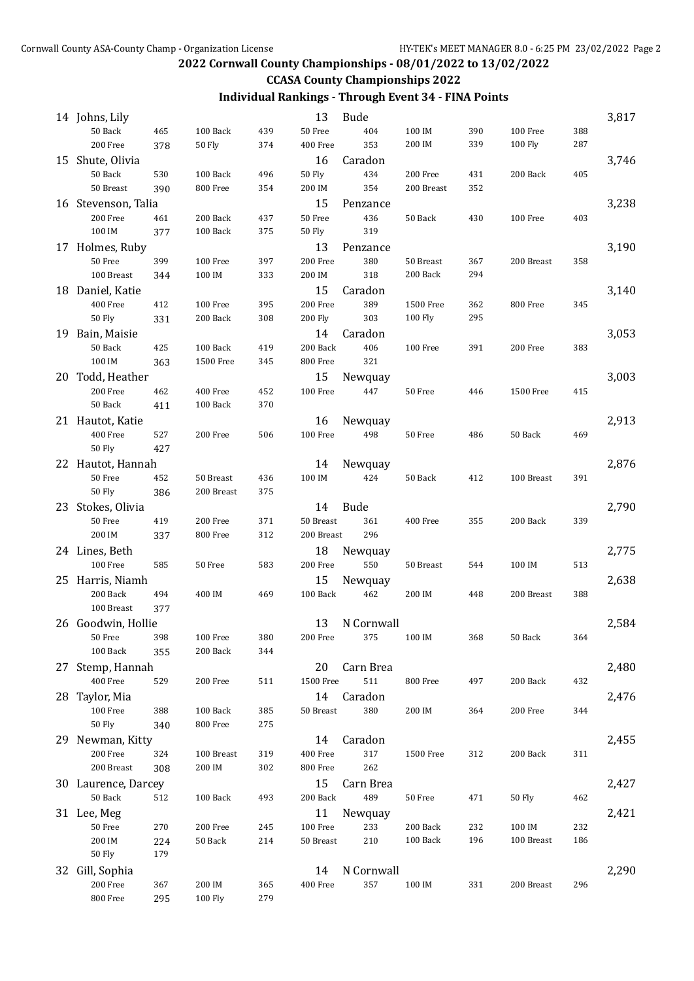## **CCASA County Championships 2022**

|    | 14 Johns, Lily           |     |                |     | 13             | <b>Bude</b>    |                |     |                       |     | 3,817 |
|----|--------------------------|-----|----------------|-----|----------------|----------------|----------------|-----|-----------------------|-----|-------|
|    | 50 Back                  | 465 | 100 Back       | 439 | 50 Free        | 404            | 100 IM         | 390 | 100 Free              | 388 |       |
|    | 200 Free                 | 378 | 50 Fly         | 374 | 400 Free       | 353            | 200 IM         | 339 | 100 Fly               | 287 |       |
| 15 | Shute, Olivia            |     |                |     | 16             | Caradon        |                |     |                       |     | 3,746 |
|    | 50 Back                  | 530 | 100 Back       | 496 | 50 Fly         | 434            | 200 Free       | 431 | 200 Back              | 405 |       |
|    | 50 Breast                | 390 | 800 Free       | 354 | 200 IM         | 354            | 200 Breast     | 352 |                       |     |       |
| 16 | Stevenson, Talia         |     |                |     | 15             | Penzance       |                |     |                       |     | 3,238 |
|    | 200 Free                 | 461 | 200 Back       | 437 | 50 Free        | 436            | 50 Back        | 430 | 100 Free              | 403 |       |
|    | 100 IM                   | 377 | 100 Back       | 375 | <b>50 Fly</b>  | 319            |                |     |                       |     |       |
|    | 17 Holmes, Ruby          |     |                |     | 13             | Penzance       |                |     |                       |     | 3,190 |
|    | 50 Free                  | 399 | 100 Free       | 397 | 200 Free       | 380            | 50 Breast      | 367 | 200 Breast            | 358 |       |
|    | 100 Breast               | 344 | 100 IM         | 333 | 200 IM         | 318            | 200 Back       | 294 |                       |     |       |
|    | 18 Daniel, Katie         |     |                |     | 15             | Caradon        |                |     |                       |     | 3,140 |
|    | 400 Free                 | 412 | 100 Free       | 395 | 200 Free       | 389            | 1500 Free      | 362 | 800 Free              | 345 |       |
|    | <b>50 Fly</b>            | 331 | 200 Back       | 308 | <b>200 Fly</b> | 303            | <b>100 Fly</b> | 295 |                       |     |       |
| 19 | Bain, Maisie             |     |                |     | 14             | Caradon        |                |     |                       |     | 3,053 |
|    | 50 Back                  | 425 | 100 Back       | 419 | 200 Back       | 406            | 100 Free       | 391 | 200 Free              | 383 |       |
|    | 100 IM                   | 363 | 1500 Free      | 345 | 800 Free       | 321            |                |     |                       |     |       |
| 20 | Todd, Heather            |     |                |     | 15             | Newquay        |                |     |                       |     | 3,003 |
|    | 200 Free                 | 462 | 400 Free       | 452 | 100 Free       | 447            | 50 Free        | 446 | 1500 Free             | 415 |       |
|    | 50 Back                  | 411 | 100 Back       | 370 |                |                |                |     |                       |     |       |
|    | 21 Hautot, Katie         |     |                |     | 16             |                |                |     |                       |     | 2,913 |
|    | 400 Free                 | 527 | 200 Free       | 506 | 100 Free       | Newquay<br>498 | 50 Free        | 486 | 50 Back               | 469 |       |
|    | 50 Fly                   | 427 |                |     |                |                |                |     |                       |     |       |
|    |                          |     |                |     |                |                |                |     |                       |     |       |
|    | 22 Hautot, Hannah        |     | 50 Breast      |     | 14             | Newquay        |                |     |                       |     | 2,876 |
|    | 50 Free<br><b>50 Fly</b> | 452 |                | 436 | 100 IM         | 424            | 50 Back        | 412 | $100\ \mathtt{Breat}$ | 391 |       |
|    |                          | 386 | 200 Breast     | 375 |                |                |                |     |                       |     |       |
| 23 | Stokes, Olivia           |     |                |     | 14             | <b>Bude</b>    |                |     |                       |     | 2,790 |
|    | 50 Free                  | 419 | 200 Free       | 371 | 50 Breast      | 361            | 400 Free       | 355 | 200 Back              | 339 |       |
|    | 200 IM                   | 337 | 800 Free       | 312 | 200 Breast     | 296            |                |     |                       |     |       |
|    | 24 Lines, Beth           |     |                |     | 18             | Newquay        |                |     |                       |     | 2,775 |
|    | 100 Free                 | 585 | 50 Free        | 583 | 200 Free       | 550            | 50 Breast      | 544 | 100 IM                | 513 |       |
| 25 | Harris, Niamh            |     |                |     | 15             | Newquay        |                |     |                       |     | 2,638 |
|    | 200 Back                 | 494 | 400 IM         | 469 | 100 Back       | 462            | 200 IM         | 448 | 200 Breast            | 388 |       |
|    | 100 Breast               | 377 |                |     |                |                |                |     |                       |     |       |
|    | 26 Goodwin, Hollie       |     |                |     | 13             | N Cornwall     |                |     |                       |     | 2,584 |
|    | 50 Free                  | 398 | 100 Free       | 380 | 200 Free       | 375            | 100 IM         | 368 | 50 Back               | 364 |       |
|    | $100\text{ Back}$        | 355 | 200 Back       | 344 |                |                |                |     |                       |     |       |
| 27 | Stemp, Hannah            |     |                |     | 20             | Carn Brea      |                |     |                       |     | 2,480 |
|    | 400 Free                 | 529 | 200 Free       | 511 | 1500 Free      | 511            | 800 Free       | 497 | 200 Back              | 432 |       |
| 28 | Taylor, Mia              |     |                |     | 14             | Caradon        |                |     |                       |     | 2,476 |
|    | 100 Free                 | 388 | 100 Back       | 385 | 50 Breast      | 380            | 200 IM         | 364 | 200 Free              | 344 |       |
|    | 50 Fly                   | 340 | 800 Free       | 275 |                |                |                |     |                       |     |       |
| 29 | Newman, Kitty            |     |                |     | 14             | Caradon        |                |     |                       |     | 2,455 |
|    | 200 Free                 | 324 | 100 Breast     | 319 | 400 Free       | 317            | 1500 Free      | 312 | 200 Back              | 311 |       |
|    | $200\,\mathrm{Breat}$    | 308 | 200 IM         | 302 | 800 Free       | 262            |                |     |                       |     |       |
| 30 | Laurence, Darcey         |     |                |     | 15             | Carn Brea      |                |     |                       |     | 2,427 |
|    | 50 Back                  | 512 | 100 Back       | 493 | 200 Back       | 489            | 50 Free        | 471 | <b>50 Fly</b>         | 462 |       |
|    | 31 Lee, Meg              |     |                |     | 11             | Newquay        |                |     |                       |     | 2,421 |
|    | 50 Free                  | 270 | 200 Free       | 245 | 100 Free       | 233            | 200 Back       | 232 | 100 IM                | 232 |       |
|    | 200 IM                   | 224 | 50 Back        | 214 | 50 Breast      | 210            | 100 Back       | 196 | 100 Breast            | 186 |       |
|    | <b>50 Fly</b>            | 179 |                |     |                |                |                |     |                       |     |       |
| 32 | Gill, Sophia             |     |                |     | 14             | N Cornwall     |                |     |                       |     | 2,290 |
|    | 200 Free                 | 367 | 200 IM         | 365 | 400 Free       | 357            | 100 IM         | 331 | 200 Breast            | 296 |       |
|    | 800 Free                 | 295 | <b>100 Fly</b> | 279 |                |                |                |     |                       |     |       |
|    |                          |     |                |     |                |                |                |     |                       |     |       |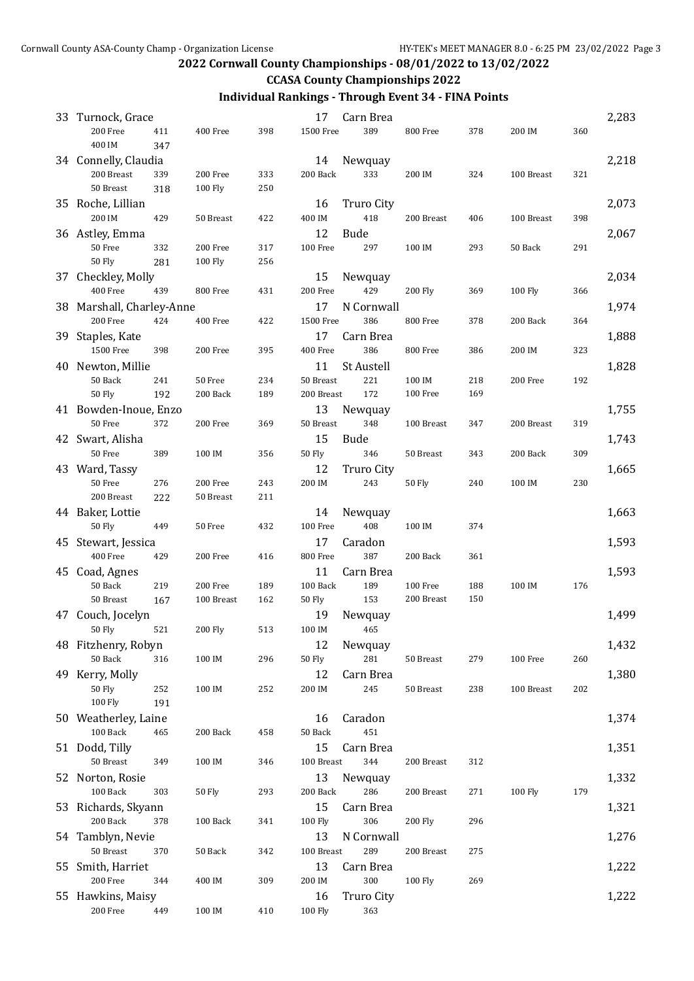#### **CCASA County Championships 2022**

| 33 | Turnock, Grace               |            |                |     | 17                      | Carn Brea         |                      |            |            |     | 2,283 |
|----|------------------------------|------------|----------------|-----|-------------------------|-------------------|----------------------|------------|------------|-----|-------|
|    | 200 Free<br>400 IM           | 411<br>347 | 400 Free       | 398 | 1500 Free               | 389               | 800 Free             | 378        | 200 IM     | 360 |       |
|    | 34 Connelly, Claudia         |            |                |     | 14                      | Newquay           |                      |            |            |     | 2,218 |
|    | 200 Breast                   | 339        | 200 Free       | 333 | 200 Back                | 333               | 200 IM               | 324        | 100 Breast | 321 |       |
|    | 50 Breast                    | 318        | <b>100 Flv</b> | 250 |                         |                   |                      |            |            |     |       |
| 35 | Roche, Lillian               |            |                |     | 16                      | <b>Truro City</b> |                      |            |            |     | 2,073 |
|    | 200 IM                       | 429        | 50 Breast      | 422 | 400 IM                  | 418               | 200 Breast           | 406        | 100 Breast | 398 |       |
|    | 36 Astley, Emma              |            |                |     | 12                      | <b>Bude</b>       |                      |            |            |     | 2,067 |
|    | 50 Free                      | 332        | 200 Free       | 317 | 100 Free                | 297               | 100 IM               | 293        | 50 Back    | 291 |       |
|    | <b>50 Fly</b>                | 281        | <b>100 Fly</b> | 256 |                         |                   |                      |            |            |     |       |
| 37 | Checkley, Molly              |            |                |     | 15                      | Newquay           |                      |            |            |     | 2,034 |
|    | 400 Free                     | 439        | 800 Free       | 431 | 200 Free                | 429               | <b>200 Fly</b>       | 369        | 100 Fly    | 366 |       |
|    | 38 Marshall, Charley-Anne    |            |                |     | 17                      | N Cornwall        |                      |            |            |     | 1,974 |
|    | 200 Free                     | 424        | 400 Free       | 422 | 1500 Free               | 386               | 800 Free             | 378        | 200 Back   | 364 |       |
| 39 | Staples, Kate                |            |                |     | 17                      | Carn Brea         |                      |            |            |     | 1,888 |
|    | 1500 Free                    | 398        | 200 Free       | 395 | 400 Free                | 386               | 800 Free             | 386        | 200 IM     | 323 |       |
|    |                              |            |                |     |                         |                   |                      |            |            |     |       |
|    | 40 Newton, Millie<br>50 Back |            |                |     | 11                      | St Austell        |                      |            |            |     | 1,828 |
|    |                              | 241        | 50 Free        | 234 | 50 Breast<br>200 Breast | 221<br>172        | 100 IM<br>100 Free   | 218<br>169 | 200 Free   | 192 |       |
|    | <b>50 Fly</b>                | 192        | 200 Back       | 189 |                         |                   |                      |            |            |     |       |
|    | 41 Bowden-Inoue, Enzo        |            |                |     | 13                      | Newquay           |                      |            |            |     | 1,755 |
|    | 50 Free                      | 372        | 200 Free       | 369 | 50 Breast               | 348               | 100 Breast           | 347        | 200 Breast | 319 |       |
|    | 42 Swart, Alisha             |            |                |     | 15                      | <b>Bude</b>       |                      |            |            |     | 1,743 |
|    | 50 Free                      | 389        | 100 IM         | 356 | <b>50 Fly</b>           | 346               | 50 Breast            | 343        | 200 Back   | 309 |       |
|    | 43 Ward, Tassy               |            |                |     | 12                      | <b>Truro City</b> |                      |            |            |     | 1,665 |
|    | 50 Free                      | 276        | 200 Free       | 243 | 200 IM                  | 243               | <b>50 Fly</b>        | 240        | 100 IM     | 230 |       |
|    | 200 Breast                   | 222        | 50 Breast      | 211 |                         |                   |                      |            |            |     |       |
|    | 44 Baker, Lottie             |            |                |     | 14                      | Newquay           |                      |            |            |     | 1,663 |
|    | 50 Fly                       | 449        | 50 Free        | 432 | 100 Free                | 408               | 100 IM               | 374        |            |     |       |
| 45 | Stewart, Jessica             |            |                |     | 17                      | Caradon           |                      |            |            |     | 1,593 |
|    | 400 Free                     | 429        | 200 Free       | 416 | 800 Free                | 387               | 200 Back             | 361        |            |     |       |
|    | 45 Coad, Agnes               |            |                |     | 11                      | Carn Brea         |                      |            |            |     | 1,593 |
|    | 50 Back                      | 219        | 200 Free       | 189 | 100 Back                | 189               | $100\ \mathrm{Free}$ | 188        | 100 IM     | 176 |       |
|    | 50 Breast                    | 167        | 100 Breast     | 162 | <b>50 Fly</b>           | 153               | 200 Breast           | 150        |            |     |       |
| 47 | Couch, Jocelyn               |            |                |     | 19                      | Newquay           |                      |            |            |     | 1,499 |
|    | <b>50 Fly</b>                | 521        | <b>200 Fly</b> | 513 | 100 IM                  | 465               |                      |            |            |     |       |
|    | 48 Fitzhenry, Robyn          |            |                |     | 12                      | Newquay           |                      |            |            |     | 1,432 |
|    | 50 Back                      | 316        | 100 IM         | 296 | <b>50 Fly</b>           | 281               | 50 Breast            | 279        | 100 Free   | 260 |       |
| 49 | Kerry, Molly                 |            |                |     | 12                      | Carn Brea         |                      |            |            |     | 1,380 |
|    | <b>50 Fly</b>                | 252        | 100 IM         | 252 | 200 IM                  | 245               | 50 Breast            | 238        | 100 Breast | 202 |       |
|    | <b>100 Fly</b>               | 191        |                |     |                         |                   |                      |            |            |     |       |
|    | 50 Weatherley, Laine         |            |                |     | 16                      | Caradon           |                      |            |            |     | 1,374 |
|    | 100 Back                     | 465        | 200 Back       | 458 | 50 Back                 | 451               |                      |            |            |     |       |
|    | 51 Dodd, Tilly               |            |                |     | 15                      | Carn Brea         |                      |            |            |     | 1,351 |
|    | 50 Breast                    | 349        | 100 IM         | 346 | 100 Breast              | 344               | 200 Breast           | 312        |            |     |       |
|    |                              |            |                |     |                         |                   |                      |            |            |     |       |
| 52 | Norton, Rosie                |            |                |     | 13                      | Newquay           |                      |            |            |     | 1,332 |
|    | 100 Back                     | 303        | <b>50 Fly</b>  | 293 | 200 Back                | 286               | 200 Breast           | 271        | 100 Fly    | 179 |       |
|    | 53 Richards, Skyann          |            |                |     | 15                      | Carn Brea         |                      |            |            |     | 1,321 |
|    | 200 Back                     | 378        | 100 Back       | 341 | <b>100 Fly</b>          | 306               | <b>200 Fly</b>       | 296        |            |     |       |
| 54 | Tamblyn, Nevie               |            |                |     | 13                      | N Cornwall        |                      |            |            |     | 1,276 |
|    | 50 Breast                    | 370        | 50 Back        | 342 | 100 Breast              | 289               | 200 Breast           | 275        |            |     |       |
| 55 | Smith, Harriet               |            |                |     | 13                      | Carn Brea         |                      |            |            |     | 1,222 |
|    | 200 Free                     | 344        | 400 IM         | 309 | 200 IM                  | 300               | 100 Fly              | 269        |            |     |       |
|    | 55 Hawkins, Maisy            |            |                |     | 16                      | <b>Truro City</b> |                      |            |            |     | 1,222 |
|    | 200 Free                     | 449        | 100 IM         | 410 | <b>100 Fly</b>          | 363               |                      |            |            |     |       |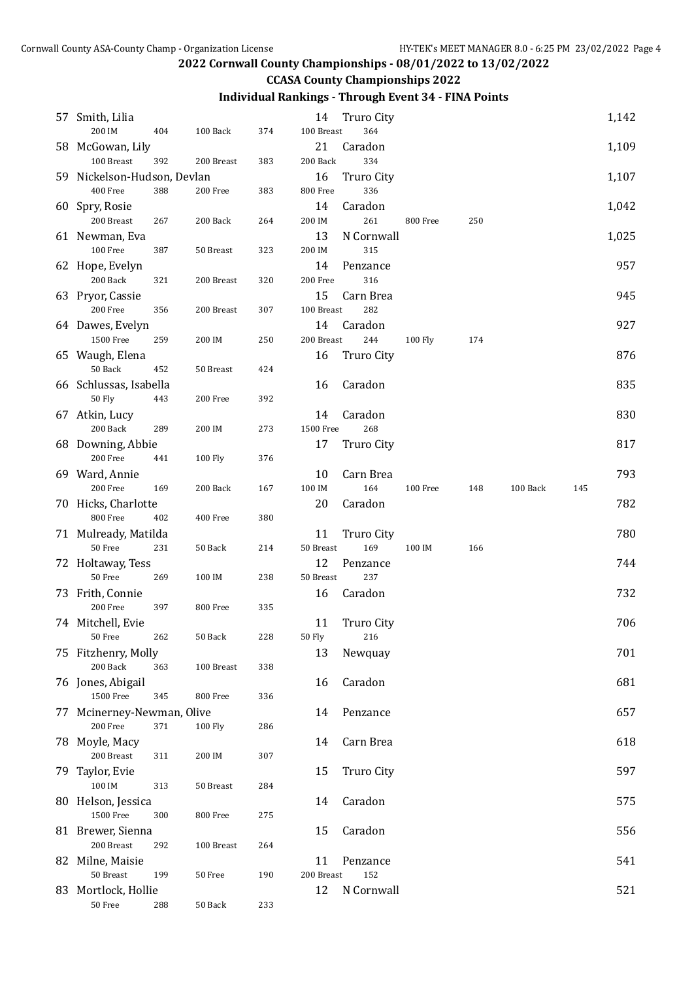### **CCASA County Championships 2022**

| 57  | Smith, Lilia                           |                |     | 14               | <b>Truro City</b> |          |     |          |     | 1,142 |
|-----|----------------------------------------|----------------|-----|------------------|-------------------|----------|-----|----------|-----|-------|
|     | 200 IM<br>404                          | 100 Back       | 374 | 100 Breast       | 364               |          |     |          |     |       |
| 58. | McGowan, Lily                          |                |     | 21               | Caradon           |          |     |          |     | 1,109 |
|     | 100 Breast<br>392                      | 200 Breast     | 383 | 200 Back         | 334               |          |     |          |     |       |
| 59  | Nickelson-Hudson, Devlan               |                |     | 16               | <b>Truro City</b> |          |     |          |     | 1,107 |
|     | 400 Free<br>388                        | 200 Free       | 383 | 800 Free<br>14   | 336<br>Caradon    |          |     |          |     | 1,042 |
|     | 60 Spry, Rosie<br>200 Breast<br>267    | 200 Back       | 264 | 200 IM           | 261               | 800 Free | 250 |          |     |       |
|     | 61 Newman, Eva                         |                |     | 13               | N Cornwall        |          |     |          |     | 1,025 |
|     | 100 Free<br>387                        | 50 Breast      | 323 | 200 IM           | 315               |          |     |          |     |       |
|     | 62 Hope, Evelyn                        |                |     | 14               | Penzance          |          |     |          |     | 957   |
|     | 200 Back<br>321                        | 200 Breast     | 320 | 200 Free         | 316               |          |     |          |     |       |
|     | 63 Pryor, Cassie                       |                |     | 15               | Carn Brea         |          |     |          |     | 945   |
|     | 200 Free<br>356                        | 200 Breast     | 307 | 100 Breast       | 282               |          |     |          |     |       |
|     | 64 Dawes, Evelyn                       |                |     | 14               | Caradon           |          |     |          |     | 927   |
|     | 1500 Free<br>259                       | 200 IM         | 250 | 200 Breast       | 244               | 100 Fly  | 174 |          |     |       |
|     | 65 Waugh, Elena<br>50 Back<br>452      | 50 Breast      | 424 | 16               | <b>Truro City</b> |          |     |          |     | 876   |
|     | 66 Schlussas, Isabella                 |                |     | 16               | Caradon           |          |     |          |     | 835   |
|     | <b>50 Fly</b><br>443                   | 200 Free       | 392 |                  |                   |          |     |          |     |       |
|     | 67 Atkin, Lucy                         |                |     | 14               | Caradon           |          |     |          |     | 830   |
|     | 200 Back<br>289                        | 200 IM         | 273 | <b>1500 Free</b> | 268               |          |     |          |     |       |
|     | 68 Downing, Abbie                      |                |     | 17               | <b>Truro City</b> |          |     |          |     | 817   |
|     | 200 Free<br>441                        | <b>100 Fly</b> | 376 |                  |                   |          |     |          |     |       |
|     | 69 Ward, Annie                         |                |     | 10               | Carn Brea         |          |     |          |     | 793   |
|     | 200 Free<br>169                        | 200 Back       | 167 | 100 IM           | 164               | 100 Free | 148 | 100 Back | 145 |       |
|     | 70 Hicks, Charlotte<br>800 Free<br>402 | 400 Free       | 380 | 20               | Caradon           |          |     |          |     | 782   |
|     | 71 Mulready, Matilda                   |                |     | 11               | <b>Truro City</b> |          |     |          |     | 780   |
|     | 50 Free<br>231                         | 50 Back        | 214 | 50 Breast        | 169               | 100 IM   | 166 |          |     |       |
|     | 72 Holtaway, Tess                      |                |     | 12               | Penzance          |          |     |          |     | 744   |
|     | 50 Free<br>269                         | 100 IM         | 238 | 50 Breast        | 237               |          |     |          |     |       |
|     | 73 Frith, Connie                       |                |     | 16               | Caradon           |          |     |          |     | 732   |
|     | 200 Free<br>397                        | 800 Free       | 335 |                  |                   |          |     |          |     |       |
|     | 74 Mitchell, Evie                      |                |     | 11               | <b>Truro City</b> |          |     |          |     | 706   |
|     | 262<br>$50\,\mathrm{Free}$             | $50\,\,$ Back  | 228 | <b>50 Fly</b>    | 216               |          |     |          |     |       |
|     | 75 Fitzhenry, Molly<br>200 Back<br>363 | 100 Breast     | 338 | 13               | Newquay           |          |     |          |     | 701   |
|     | 76 Jones, Abigail                      |                |     | 16               | Caradon           |          |     |          |     | 681   |
|     | 1500 Free<br>345                       | 800 Free       | 336 |                  |                   |          |     |          |     |       |
| 77  | Mcinerney-Newman, Olive                |                |     | 14               | Penzance          |          |     |          |     | 657   |
|     | 200 Free<br>371                        | <b>100 Fly</b> | 286 |                  |                   |          |     |          |     |       |
| 78  | Moyle, Macy                            |                |     | 14               | Carn Brea         |          |     |          |     | 618   |
|     | 200 Breast<br>311                      | 200 IM         | 307 |                  |                   |          |     |          |     |       |
| 79  | Taylor, Evie                           |                |     | 15               | <b>Truro City</b> |          |     |          |     | 597   |
|     | 100 IM<br>313                          | 50 Breast      | 284 |                  |                   |          |     |          |     | 575   |
|     | 80 Helson, Jessica<br>1500 Free<br>300 | 800 Free       | 275 | 14               | Caradon           |          |     |          |     |       |
|     | 81 Brewer, Sienna                      |                |     | 15               | Caradon           |          |     |          |     | 556   |
|     | 200 Breast<br>292                      | 100 Breast     | 264 |                  |                   |          |     |          |     |       |
|     | 82 Milne, Maisie                       |                |     | 11               | Penzance          |          |     |          |     | 541   |
|     | 50 Breast<br>199                       | 50 Free        | 190 | 200 Breast       | 152               |          |     |          |     |       |
|     | 83 Mortlock, Hollie                    |                |     | 12               | N Cornwall        |          |     |          |     | 521   |
|     | 50 Free<br>288                         | 50 Back        | 233 |                  |                   |          |     |          |     |       |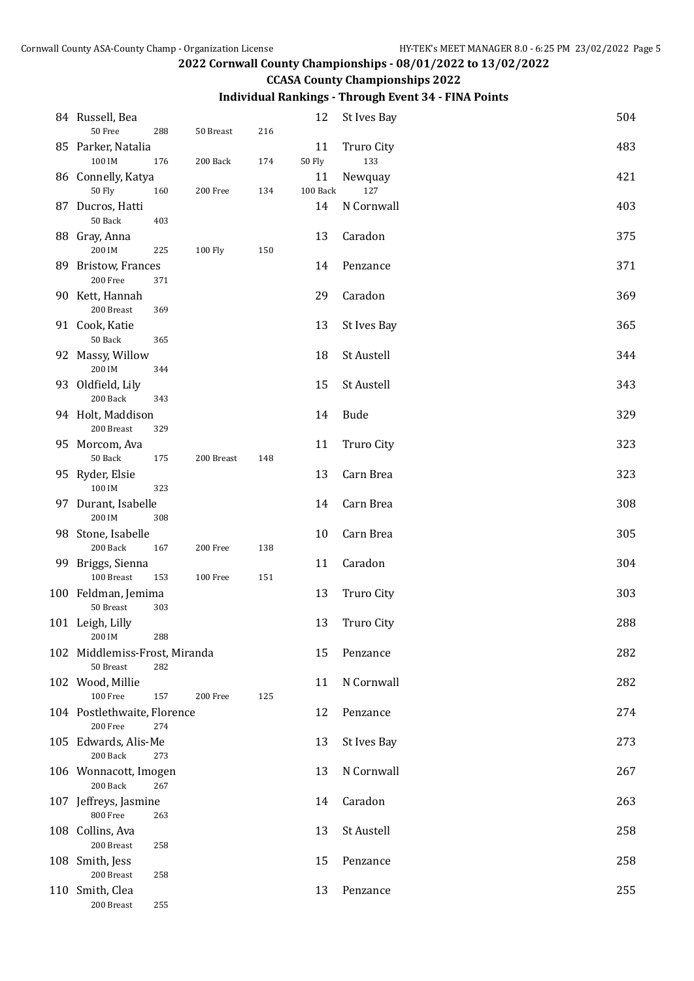#### **CCASA County Championships 2022**

|     | 84 Russell, Bea                   |     |                |     | 12            | St Ives Bay       | 504 |
|-----|-----------------------------------|-----|----------------|-----|---------------|-------------------|-----|
|     | 50 Free<br>85 Parker, Natalia     | 288 | 50 Breast      | 216 | 11            | <b>Truro City</b> | 483 |
|     | 100 IM                            | 176 | 200 Back       | 174 | <b>50 Fly</b> | 133               |     |
|     | 86 Connelly, Katya                |     |                |     | 11            | Newquay           | 421 |
|     | <b>50 Fly</b>                     | 160 | 200 Free       | 134 | 100 Back      | 127               |     |
| 87  | Ducros, Hatti                     |     |                |     | 14            | N Cornwall        | 403 |
|     | 50 Back                           | 403 |                |     |               | Caradon           |     |
|     | 88 Gray, Anna<br>200 IM           | 225 | <b>100 Fly</b> | 150 | 13            |                   | 375 |
| 89  | <b>Bristow, Frances</b>           |     |                |     | 14            | Penzance          | 371 |
|     | 200 Free                          | 371 |                |     |               |                   |     |
|     | 90 Kett, Hannah                   |     |                |     | 29            | Caradon           | 369 |
|     | 200 Breast                        | 369 |                |     |               |                   |     |
|     | 91 Cook, Katie<br>50 Back         | 365 |                |     | 13            | St Ives Bay       | 365 |
| 92  | Massy, Willow                     |     |                |     | 18            | St Austell        | 344 |
|     | 200 IM                            | 344 |                |     |               |                   |     |
| 93  | Oldfield, Lily                    |     |                |     | 15            | St Austell        | 343 |
|     | 200 Back<br>94 Holt, Maddison     | 343 |                |     | 14            | <b>Bude</b>       | 329 |
|     | 200 Breast                        | 329 |                |     |               |                   |     |
|     | 95 Morcom, Ava                    |     |                |     | 11            | <b>Truro City</b> | 323 |
|     | 50 Back                           | 175 | 200 Breast     | 148 |               |                   |     |
| 95  | Ryder, Elsie                      |     |                |     | 13            | Carn Brea         | 323 |
| 97  | 100 IM                            | 323 |                |     | 14            | Carn Brea         | 308 |
|     | Durant, Isabelle<br>200 IM        | 308 |                |     |               |                   |     |
|     | 98 Stone, Isabelle                |     |                |     | 10            | Carn Brea         | 305 |
|     | 200 Back                          | 167 | 200 Free       | 138 |               |                   |     |
| 99  | Briggs, Sienna                    |     |                |     | 11            | Caradon           | 304 |
|     | 100 Breast<br>100 Feldman, Jemima | 153 | 100 Free       | 151 | 13            | <b>Truro City</b> | 303 |
|     | 50 Breast                         | 303 |                |     |               |                   |     |
|     | 101 Leigh, Lilly                  |     |                |     | 13            | <b>Truro City</b> | 288 |
|     | 200 IM                            | 288 |                |     |               |                   |     |
|     | 102 Middlemiss-Frost, Miranda     |     |                |     | 15            | Penzance          | 282 |
|     | 50 Breast<br>102 Wood, Millie     | 282 |                |     | 11            | N Cornwall        | 282 |
|     | 100 Free                          | 157 | 200 Free       | 125 |               |                   |     |
|     | 104 Postlethwaite, Florence       |     |                |     | 12            | Penzance          | 274 |
|     | 200 Free                          | 274 |                |     |               |                   |     |
| 105 | Edwards, Alis-Me                  |     |                |     | 13            | St Ives Bay       | 273 |
|     | 200 Back<br>106 Wonnacott, Imogen | 273 |                |     | 13            | N Cornwall        | 267 |
|     | 200 Back                          | 267 |                |     |               |                   |     |
|     | 107 Jeffreys, Jasmine             |     |                |     | 14            | Caradon           | 263 |
|     | 800 Free                          | 263 |                |     |               |                   |     |
|     | 108 Collins, Ava<br>200 Breast    |     |                |     | 13            | St Austell        | 258 |
|     | 108 Smith, Jess                   | 258 |                |     | 15            | Penzance          | 258 |
|     | 200 Breast                        | 258 |                |     |               |                   |     |
|     | 110 Smith, Clea                   |     |                |     | 13            | Penzance          | 255 |
|     | 200 Breast                        | 255 |                |     |               |                   |     |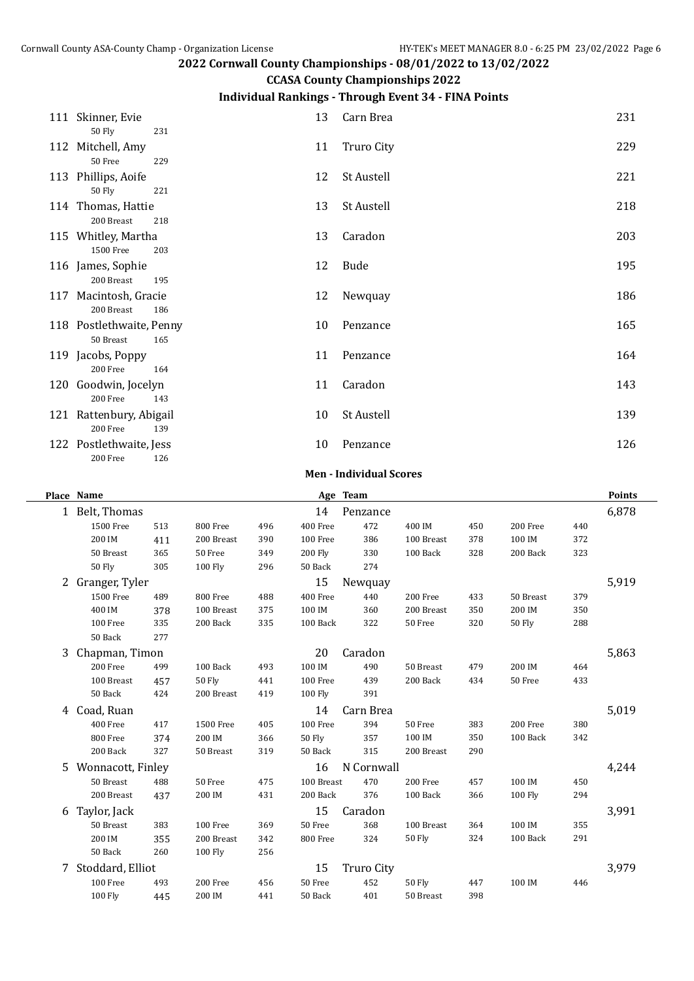#### **CCASA County Championships 2022**

### **Individual Rankings - Through Event 34 - FINA Points**

|     | 111 Skinner, Evie        |     | 13 | Carn Brea         | 231 |
|-----|--------------------------|-----|----|-------------------|-----|
|     | 50 Fly                   | 231 |    |                   |     |
|     | 112 Mitchell, Amy        |     | 11 | <b>Truro City</b> | 229 |
|     | 50 Free                  | 229 |    |                   |     |
|     | 113 Phillips, Aoife      |     | 12 | St Austell        | 221 |
|     | <b>50 Fly</b>            | 221 |    |                   |     |
|     | 114 Thomas, Hattie       |     | 13 | St Austell        | 218 |
|     | 200 Breast               | 218 |    |                   |     |
|     | 115 Whitley, Martha      |     | 13 | Caradon           | 203 |
|     | <b>1500 Free</b>         | 203 |    |                   |     |
|     | 116 James, Sophie        |     | 12 | <b>Bude</b>       | 195 |
|     | 200 Breast               | 195 |    |                   |     |
| 117 | Macintosh, Gracie        |     | 12 | Newquay           | 186 |
|     | 200 Breast               | 186 |    |                   |     |
|     | 118 Postlethwaite, Penny |     | 10 | Penzance          | 165 |
|     | 50 Breast                | 165 |    |                   |     |
|     | 119 Jacobs, Poppy        |     | 11 | Penzance          | 164 |
|     | 200 Free                 | 164 |    |                   |     |
|     | 120 Goodwin, Jocelyn     |     | 11 | Caradon           | 143 |
|     | 200 Free                 | 143 |    |                   |     |
|     | 121 Rattenbury, Abigail  |     | 10 | St Austell        | 139 |
|     | 200 Free                 | 139 |    |                   |     |
|     | 122 Postlethwaite, Jess  |     | 10 | Penzance          | 126 |
|     | 200 Free                 | 126 |    |                   |     |
|     |                          |     |    |                   |     |

#### **Men - Individual Scores**

|   | Place Name        |     |                |     |               | Age Team          |               |     |               |     | Points |
|---|-------------------|-----|----------------|-----|---------------|-------------------|---------------|-----|---------------|-----|--------|
|   | 1 Belt, Thomas    |     |                |     | 14            | Penzance          |               |     |               |     | 6,878  |
|   | 1500 Free         | 513 | 800 Free       | 496 | 400 Free      | 472               | 400 IM        | 450 | 200 Free      | 440 |        |
|   | 200 IM            | 411 | 200 Breast     | 390 | 100 Free      | 386               | 100 Breast    | 378 | 100 IM        | 372 |        |
|   | 50 Breast         | 365 | 50 Free        | 349 | 200 Fly       | 330               | 100 Back      | 328 | 200 Back      | 323 |        |
|   | <b>50 Fly</b>     | 305 | 100 Fly        | 296 | 50 Back       | 274               |               |     |               |     |        |
| 2 | Granger, Tyler    |     |                |     | 15            | Newquay           |               |     |               |     | 5,919  |
|   | 1500 Free         | 489 | 800 Free       | 488 | 400 Free      | 440               | 200 Free      | 433 | 50 Breast     | 379 |        |
|   | 400 IM            | 378 | 100 Breast     | 375 | 100 IM        | 360               | 200 Breast    | 350 | 200 IM        | 350 |        |
|   | 100 Free          | 335 | 200 Back       | 335 | 100 Back      | 322               | 50 Free       | 320 | <b>50 Fly</b> | 288 |        |
|   | 50 Back           | 277 |                |     |               |                   |               |     |               |     |        |
| 3 | Chapman, Timon    |     |                |     | 20            | Caradon           |               |     |               |     | 5,863  |
|   | 200 Free          | 499 | 100 Back       | 493 | 100 IM        | 490               | 50 Breast     | 479 | 200 IM        | 464 |        |
|   | 100 Breast        | 457 | <b>50 Fly</b>  | 441 | 100 Free      | 439               | 200 Back      | 434 | 50 Free       | 433 |        |
|   | 50 Back           | 424 | 200 Breast     | 419 | 100 Fly       | 391               |               |     |               |     |        |
| 4 | Coad, Ruan        |     |                |     | 14            | Carn Brea         |               |     |               |     | 5,019  |
|   | 400 Free          | 417 | 1500 Free      | 405 | 100 Free      | 394               | 50 Free       | 383 | 200 Free      | 380 |        |
|   | 800 Free          | 374 | 200 IM         | 366 | <b>50 Fly</b> | 357               | 100 IM        | 350 | 100 Back      | 342 |        |
|   | 200 Back          | 327 | 50 Breast      | 319 | 50 Back       | 315               | 200 Breast    | 290 |               |     |        |
| 5 | Wonnacott, Finley |     |                |     | 16            | N Cornwall        |               |     |               |     | 4,244  |
|   | 50 Breast         | 488 | 50 Free        | 475 | 100 Breast    | 470               | 200 Free      | 457 | 100 IM        | 450 |        |
|   | 200 Breast        | 437 | 200 IM         | 431 | 200 Back      | 376               | 100 Back      | 366 | 100 Fly       | 294 |        |
| 6 | Taylor, Jack      |     |                |     | 15            | Caradon           |               |     |               |     | 3,991  |
|   | 50 Breast         | 383 | 100 Free       | 369 | 50 Free       | 368               | 100 Breast    | 364 | 100 IM        | 355 |        |
|   | 200 IM            | 355 | 200 Breast     | 342 | 800 Free      | 324               | <b>50 Fly</b> | 324 | 100 Back      | 291 |        |
|   | 50 Back           | 260 | <b>100 Flv</b> | 256 |               |                   |               |     |               |     |        |
| 7 | Stoddard, Elliot  |     |                |     | 15            | <b>Truro City</b> |               |     |               |     | 3,979  |
|   | 100 Free          | 493 | 200 Free       | 456 | 50 Free       | 452               | <b>50 Fly</b> | 447 | 100 IM        | 446 |        |
|   | <b>100 Flv</b>    | 445 | 200 IM         | 441 | 50 Back       | 401               | 50 Breast     | 398 |               |     |        |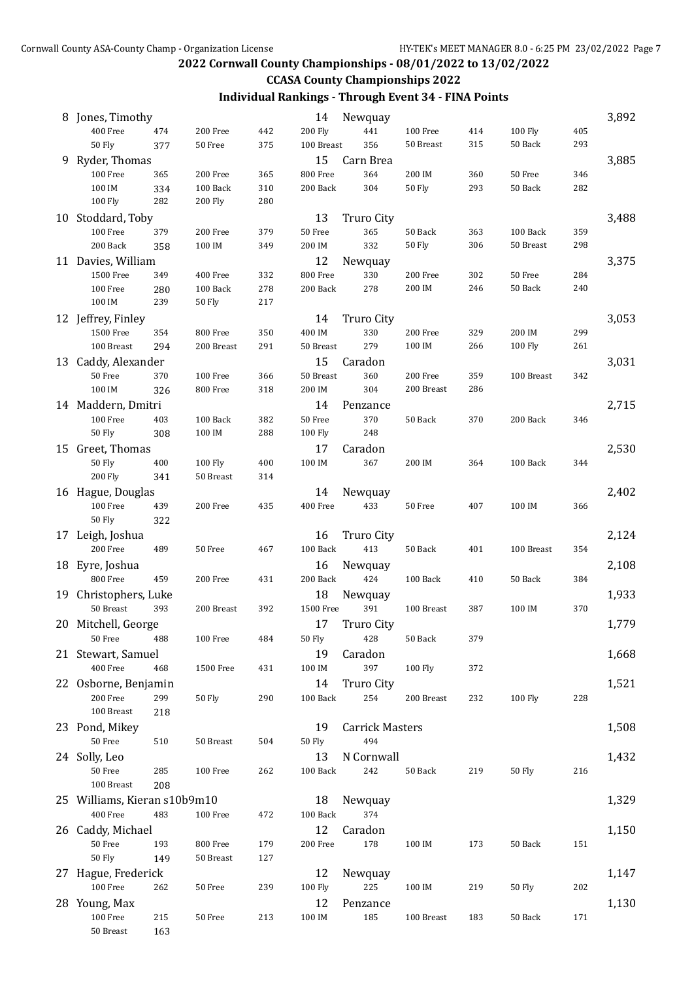### **CCASA County Championships 2022 Individual Rankings - Through Event 34 - FINA Points**

| 8  | Jones, Timothy               |     |                      |     | 14             | Newquay                |               |     |                |     | 3,892 |
|----|------------------------------|-----|----------------------|-----|----------------|------------------------|---------------|-----|----------------|-----|-------|
|    | 400 Free                     | 474 | 200 Free             | 442 | <b>200 Fly</b> | 441                    | 100 Free      | 414 | <b>100 Fly</b> | 405 |       |
|    | <b>50 Fly</b>                | 377 | 50 Free              | 375 | 100 Breast     | 356                    | 50 Breast     | 315 | 50 Back        | 293 |       |
| 9  | Ryder, Thomas                |     |                      |     | 15             | Carn Brea              |               |     |                |     | 3,885 |
|    | 100 Free                     | 365 | 200 Free             | 365 | 800 Free       | 364                    | 200 IM        | 360 | 50 Free        | 346 |       |
|    | 100 IM                       | 334 | 100 Back             | 310 | 200 Back       | 304                    | 50 Fly        | 293 | 50 Back        | 282 |       |
|    | <b>100 Fly</b>               | 282 | <b>200 Fly</b>       | 280 |                |                        |               |     |                |     |       |
| 10 | Stoddard, Toby               |     |                      |     | 13             | <b>Truro City</b>      |               |     |                |     | 3,488 |
|    | 100 Free                     | 379 | 200 Free             | 379 | 50 Free        | 365                    | 50 Back       | 363 | 100 Back       | 359 |       |
|    | 200 Back                     | 358 | 100 IM               | 349 | 200 IM         | 332                    | <b>50 Fly</b> | 306 | 50 Breast      | 298 |       |
|    | 11 Davies, William           |     |                      |     | 12             | Newquay                |               |     |                |     | 3,375 |
|    | 1500 Free                    | 349 | 400 Free             | 332 | 800 Free       | 330                    | 200 Free      | 302 | 50 Free        | 284 |       |
|    | 100 Free                     | 280 | 100 Back             | 278 | 200 Back       | 278                    | 200 IM        | 246 | 50 Back        | 240 |       |
|    | 100 IM                       | 239 | 50 Fly               | 217 |                |                        |               |     |                |     |       |
|    | 12 Jeffrey, Finley           |     |                      |     | 14             | <b>Truro City</b>      |               |     |                |     | 3,053 |
|    | 1500 Free                    | 354 | 800 Free             | 350 | 400 IM         | 330                    | 200 Free      | 329 | 200 IM         | 299 |       |
|    | 100 Breast                   | 294 | 200 Breast           | 291 | 50 Breast      | 279                    | 100 IM        | 266 | 100 Fly        | 261 |       |
| 13 | Caddy, Alexander             |     |                      |     | 15             | Caradon                |               |     |                |     | 3,031 |
|    | 50 Free                      | 370 | 100 Free             | 366 | 50 Breast      | 360                    | 200 Free      | 359 | 100 Breast     | 342 |       |
|    | 100 IM                       | 326 | 800 Free             | 318 | 200 IM         | 304                    | 200 Breast    | 286 |                |     |       |
|    | 14 Maddern, Dmitri           |     |                      |     | 14             | Penzance               |               |     |                |     | 2,715 |
|    | 100 Free                     | 403 | 100 Back             | 382 | 50 Free        | 370                    | 50 Back       | 370 | 200 Back       | 346 |       |
|    | <b>50 Fly</b>                | 308 | 100 IM               | 288 | 100 Fly        | 248                    |               |     |                |     |       |
| 15 | Greet, Thomas                |     |                      |     | 17             | Caradon                |               |     |                |     | 2,530 |
|    | <b>50 Fly</b>                | 400 | 100 Fly              | 400 | 100 IM         | 367                    | 200 IM        | 364 | 100 Back       | 344 |       |
|    | <b>200 Fly</b>               | 341 | 50 Breast            | 314 |                |                        |               |     |                |     |       |
|    | 16 Hague, Douglas            |     |                      |     | 14             | Newquay                |               |     |                |     | 2,402 |
|    | 100 Free                     | 439 | 200 Free             | 435 | 400 Free       | 433                    | 50 Free       | 407 | 100 IM         | 366 |       |
|    | <b>50 Fly</b>                | 322 |                      |     |                |                        |               |     |                |     |       |
|    |                              |     |                      |     |                |                        |               |     |                |     |       |
| 17 | Leigh, Joshua<br>200 Free    |     |                      |     | 16<br>100 Back | <b>Truro City</b>      |               |     |                |     | 2,124 |
|    |                              | 489 | 50 Free              | 467 |                | 413                    | 50 Back       | 401 | 100 Breast     | 354 |       |
| 18 | Eyre, Joshua                 |     |                      |     | 16             | Newquay                |               |     |                |     | 2,108 |
|    | 800 Free                     | 459 | 200 Free             | 431 | 200 Back       | 424                    | 100 Back      | 410 | 50 Back        | 384 |       |
| 19 | Christophers, Luke           |     |                      |     | 18             | Newquay                |               |     |                |     | 1,933 |
|    | 50 Breast                    | 393 | 200 Breast           | 392 | 1500 Free      | 391                    | 100 Breast    | 387 | 100 IM         | 370 |       |
|    | 20 Mitchell, George          |     |                      |     | 17             | <b>Truro City</b>      |               |     |                |     | 1,779 |
|    | 50 Free                      | 488 | $100\,\mathrm{Free}$ | 484 | 50 Fly         | 428                    | 50 Back       | 379 |                |     |       |
|    | 21 Stewart, Samuel           |     |                      |     | 19             | Caradon                |               |     |                |     | 1,668 |
|    | 400 Free                     | 468 | 1500 Free            | 431 | 100 IM         | 397                    | 100 Fly       | 372 |                |     |       |
|    | 22 Osborne, Benjamin         |     |                      |     | 14             | <b>Truro City</b>      |               |     |                |     | 1,521 |
|    | 200 Free                     | 299 | <b>50 Fly</b>        | 290 | 100 Back       | 254                    | 200 Breast    | 232 | <b>100 Fly</b> | 228 |       |
|    | 100 Breast                   | 218 |                      |     |                |                        |               |     |                |     |       |
|    | 23 Pond, Mikey               |     |                      |     | 19             | <b>Carrick Masters</b> |               |     |                |     | 1,508 |
|    | 50 Free                      | 510 | 50 Breast            | 504 | <b>50 Fly</b>  | 494                    |               |     |                |     |       |
|    | 24 Solly, Leo                |     |                      |     | 13             | N Cornwall             |               |     |                |     | 1,432 |
|    | 50 Free                      | 285 | 100 Free             | 262 | 100 Back       | 242                    | 50 Back       | 219 | 50 Fly         | 216 |       |
|    | $100\ \mathtt{Breat}$        | 208 |                      |     |                |                        |               |     |                |     |       |
|    | 25 Williams, Kieran s10b9m10 |     |                      |     | 18             | Newquay                |               |     |                |     | 1,329 |
|    | 400 Free                     | 483 | 100 Free             | 472 | 100 Back       | 374                    |               |     |                |     |       |
|    |                              |     |                      |     | 12             | Caradon                |               |     |                |     |       |
|    | 26 Caddy, Michael<br>50 Free |     | 800 Free             |     |                |                        |               |     |                |     | 1,150 |
|    |                              | 193 |                      | 179 | 200 Free       | 178                    | 100 IM        | 173 | 50 Back        | 151 |       |
|    | <b>50 Fly</b>                | 149 | 50 Breast            | 127 |                |                        |               |     |                |     |       |
| 27 | Hague, Frederick             |     |                      |     | 12             | Newquay                |               |     |                |     | 1,147 |
|    | 100 Free                     | 262 | 50 Free              | 239 | <b>100 Fly</b> | 225                    | 100 IM        | 219 | <b>50 Fly</b>  | 202 |       |
| 28 | Young, Max                   |     |                      |     | 12             | Penzance               |               |     |                |     | 1,130 |
|    | 100 Free                     | 215 | 50 Free              | 213 | 100 IM         | 185                    | 100 Breast    | 183 | 50 Back        | 171 |       |
|    | $50\,\mathrm{Breat}$         | 163 |                      |     |                |                        |               |     |                |     |       |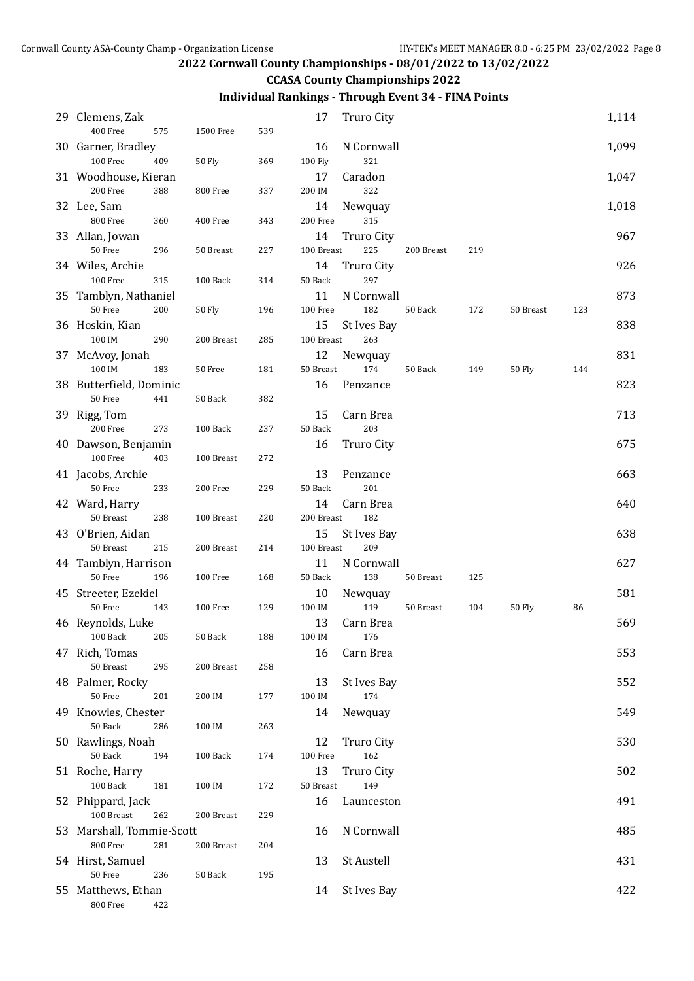#### **CCASA County Championships 2022**

| 29 | Clemens, Zak                   |     |            |     | 17                 | <b>Truro City</b>  |            |     |           |     | 1,114 |
|----|--------------------------------|-----|------------|-----|--------------------|--------------------|------------|-----|-----------|-----|-------|
|    | 400 Free                       | 575 | 1500 Free  | 539 |                    |                    |            |     |           |     |       |
| 30 | Garner, Bradley                |     |            |     | 16                 | N Cornwall         |            |     |           |     | 1,099 |
|    | 100 Free                       | 409 | 50 Fly     | 369 | 100 Fly            | 321                |            |     |           |     |       |
|    | 31 Woodhouse, Kieran           |     |            |     | 17                 | Caradon            |            |     |           |     | 1,047 |
|    | 200 Free                       | 388 | 800 Free   | 337 | 200 IM             | 322                |            |     |           |     |       |
|    | 32 Lee, Sam<br>800 Free        | 360 | 400 Free   | 343 | 14<br>200 Free     | Newquay<br>315     |            |     |           |     | 1,018 |
| 33 | Allan, Jowan                   |     |            |     | 14                 | <b>Truro City</b>  |            |     |           |     | 967   |
|    | 50 Free                        | 296 | 50 Breast  | 227 | 100 Breast         | 225                | 200 Breast | 219 |           |     |       |
|    | 34 Wiles, Archie               |     |            |     | 14                 | <b>Truro City</b>  |            |     |           |     | 926   |
|    | 100 Free                       | 315 | 100 Back   | 314 | 50 Back            | 297                |            |     |           |     |       |
| 35 | Tamblyn, Nathaniel             |     |            |     | 11                 | N Cornwall         |            |     |           |     | 873   |
|    | 50 Free                        | 200 | 50 Fly     | 196 | 100 Free           | 182                | 50 Back    | 172 | 50 Breast | 123 |       |
|    | 36 Hoskin, Kian                |     |            |     | 15                 | St Ives Bay        |            |     |           |     | 838   |
|    | 100 IM                         | 290 | 200 Breast | 285 | 100 Breast         | 263                |            |     |           |     |       |
| 37 | McAvoy, Jonah                  |     |            |     | 12                 | Newquay            |            |     |           |     | 831   |
|    | 100 IM                         | 183 | 50 Free    | 181 | 50 Breast          | 174                | 50 Back    | 149 | 50 Fly    | 144 |       |
| 38 | Butterfield, Dominic           |     |            |     | 16                 | Penzance           |            |     |           |     | 823   |
|    | 50 Free                        | 441 | 50 Back    | 382 |                    |                    |            |     |           |     |       |
| 39 | Rigg, Tom                      |     |            |     | 15                 | Carn Brea          |            |     |           |     | 713   |
|    | 200 Free                       | 273 | 100 Back   | 237 | 50 Back            | 203                |            |     |           |     |       |
| 40 | Dawson, Benjamin<br>100 Free   | 403 |            |     | 16                 | <b>Truro City</b>  |            |     |           |     | 675   |
|    | 41 Jacobs, Archie              |     | 100 Breast | 272 | 13                 | Penzance           |            |     |           |     | 663   |
|    | 50 Free                        | 233 | 200 Free   | 229 | 50 Back            | 201                |            |     |           |     |       |
|    | 42 Ward, Harry                 |     |            |     | 14                 | Carn Brea          |            |     |           |     | 640   |
|    | 50 Breast                      | 238 | 100 Breast | 220 | 200 Breast         | 182                |            |     |           |     |       |
|    | 43 O'Brien, Aidan              |     |            |     | 15                 | St Ives Bay        |            |     |           |     | 638   |
|    | 50 Breast                      | 215 | 200 Breast | 214 | 100 Breast         | 209                |            |     |           |     |       |
|    | 44 Tamblyn, Harrison           |     |            |     | 11                 | N Cornwall         |            |     |           |     | 627   |
|    | 50 Free                        | 196 | 100 Free   | 168 | 50 Back            | 138                | 50 Breast  | 125 |           |     |       |
|    | 45 Streeter, Ezekiel           |     |            |     | 10                 | Newquay            |            |     |           |     | 581   |
|    | 50 Free                        | 143 | 100 Free   | 129 | 100 IM             | 119                | 50 Breast  | 104 | 50 Fly    | 86  |       |
|    | 46 Reynolds, Luke              |     |            |     | 13                 | Carn Brea          |            |     |           |     | 569   |
|    | 100 Back                       | 205 | 50 Back    | 188 | $100\ \mathrm{IM}$ | 176                |            |     |           |     |       |
| 47 | Rich, Tomas                    |     |            |     | 16                 | Carn Brea          |            |     |           |     | 553   |
|    | 50 Breast                      | 295 | 200 Breast | 258 |                    |                    |            |     |           |     |       |
|    | 48 Palmer, Rocky<br>50 Free    |     |            |     | 13                 | St Ives Bay<br>174 |            |     |           |     | 552   |
| 49 | Knowles, Chester               | 201 | 200 IM     | 177 | 100 IM<br>14       | Newquay            |            |     |           |     | 549   |
|    | 50 Back                        | 286 | 100 IM     | 263 |                    |                    |            |     |           |     |       |
| 50 | Rawlings, Noah                 |     |            |     | 12                 | <b>Truro City</b>  |            |     |           |     | 530   |
|    | 50 Back                        | 194 | 100 Back   | 174 | 100 Free           | 162                |            |     |           |     |       |
|    | 51 Roche, Harry                |     |            |     | 13                 | <b>Truro City</b>  |            |     |           |     | 502   |
|    | 100 Back                       | 181 | 100 IM     | 172 | 50 Breast          | 149                |            |     |           |     |       |
|    | 52 Phippard, Jack              |     |            |     | 16                 | Launceston         |            |     |           |     | 491   |
|    | 100 Breast                     | 262 | 200 Breast | 229 |                    |                    |            |     |           |     |       |
| 53 | Marshall, Tommie-Scott         |     |            |     | 16                 | N Cornwall         |            |     |           |     | 485   |
|    | 800 Free                       | 281 | 200 Breast | 204 |                    |                    |            |     |           |     |       |
|    | 54 Hirst, Samuel               |     |            |     | 13                 | St Austell         |            |     |           |     | 431   |
|    | 50 Free                        | 236 | 50 Back    | 195 |                    |                    |            |     |           |     |       |
|    | 55 Matthews, Ethan<br>800 Free | 422 |            |     | 14                 | St Ives Bay        |            |     |           |     | 422   |
|    |                                |     |            |     |                    |                    |            |     |           |     |       |